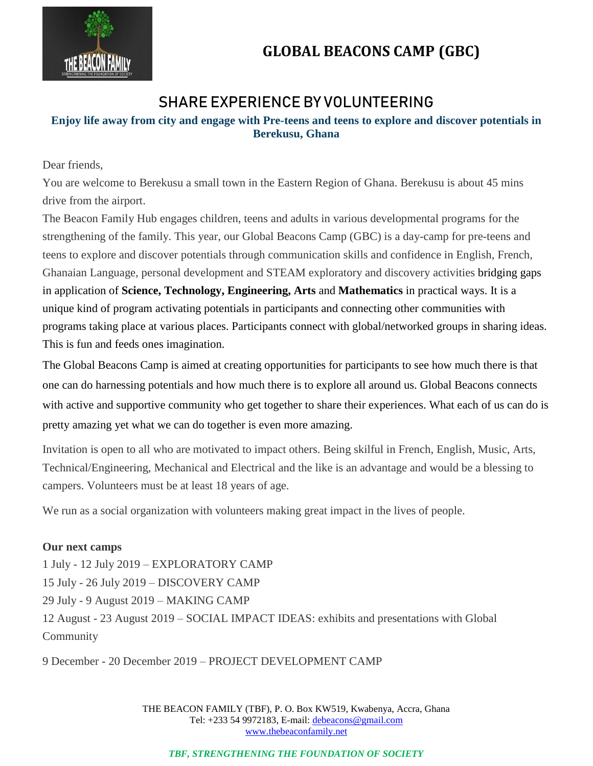

# **GLOBAL BEACONS CAMP (GBC)**

## **SHARE EXPERIENCE BY VOLUNTEERING**

### **Enjoy life away from city and engage with Pre-teens and teens to explore and discover potentials in Berekusu, Ghana**

Dear friends,

You are welcome to Berekusu a small town in the Eastern Region of Ghana. Berekusu is about 45 mins drive from the airport.

The Beacon Family Hub engages children, teens and adults in various developmental programs for the strengthening of the family. This year, our Global Beacons Camp (GBC) is a day-camp for pre-teens and teens to explore and discover potentials through communication skills and confidence in English, French, Ghanaian Language, personal development and STEAM exploratory and discovery activities bridging gaps in application of **Science, Technology, Engineering, Arts** and **Mathematics** in practical ways. It is a unique kind of program activating potentials in participants and connecting other communities with programs taking place at various places. Participants connect with global/networked groups in sharing ideas. This is fun and feeds ones imagination.

The Global Beacons Camp is aimed at creating opportunities for participants to see how much there is that one can do harnessing potentials and how much there is to explore all around us. Global Beacons connects with active and supportive community who get together to share their experiences. What each of us can do is pretty amazing yet what we can do together is even more amazing.

Invitation is open to all who are motivated to impact others. Being skilful in French, English, Music, Arts, Technical/Engineering, Mechanical and Electrical and the like is an advantage and would be a blessing to campers. Volunteers must be at least 18 years of age.

We run as a social organization with volunteers making great impact in the lives of people.

#### **Our next camps**

1 July - 12 July 2019 – EXPLORATORY CAMP 15 July - 26 July 2019 – DISCOVERY CAMP 29 July - 9 August 2019 – MAKING CAMP 12 August - 23 August 2019 – SOCIAL IMPACT IDEAS: exhibits and presentations with Global **Community** 

9 December - 20 December 2019 – PROJECT DEVELOPMENT CAMP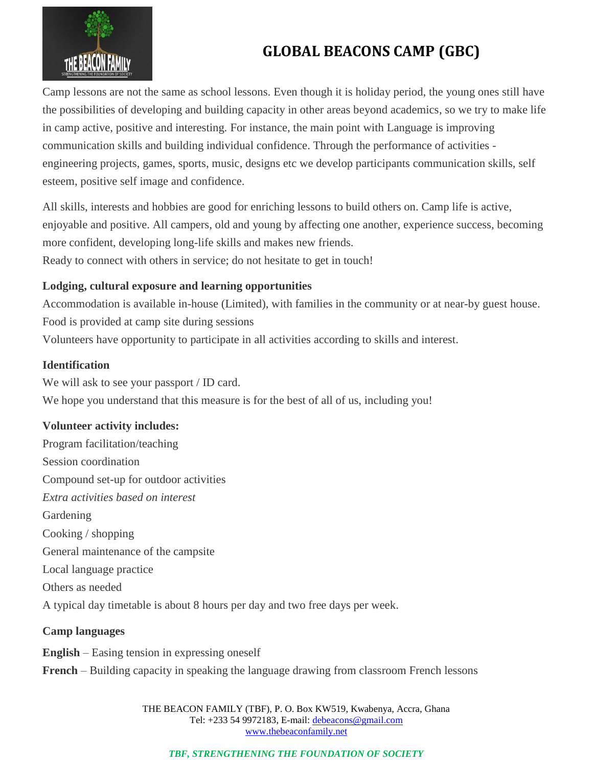

# **GLOBAL BEACONS CAMP (GBC)**

Camp lessons are not the same as school lessons. Even though it is holiday period, the young ones still have the possibilities of developing and building capacity in other areas beyond academics, so we try to make life in camp active, positive and interesting. For instance, the main point with Language is improving communication skills and building individual confidence. Through the performance of activities engineering projects, games, sports, music, designs etc we develop participants communication skills, self esteem, positive self image and confidence.

All skills, interests and hobbies are good for enriching lessons to build others on. Camp life is active, enjoyable and positive. All campers, old and young by affecting one another, experience success, becoming more confident, developing long-life skills and makes new friends. Ready to connect with others in service; do not hesitate to get in touch!

#### **Lodging, cultural exposure and learning opportunities**

Accommodation is available in-house (Limited), with families in the community or at near-by guest house. Food is provided at camp site during sessions Volunteers have opportunity to participate in all activities according to skills and interest.

#### **Identification**

We will ask to see your passport / ID card. We hope you understand that this measure is for the best of all of us, including you!

### **Volunteer activity includes:**

Program facilitation/teaching Session coordination Compound set-up for outdoor activities *Extra activities based on interest*  Gardening Cooking / shopping General maintenance of the campsite Local language practice Others as needed A typical day timetable is about 8 hours per day and two free days per week.

### **Camp languages**

**English** – Easing tension in expressing oneself **French** – Building capacity in speaking the language drawing from classroom French lessons

> THE BEACON FAMILY (TBF), P. O. Box KW519, Kwabenya, Accra, Ghana Tel: +233 54 9972183, E-mail: debeacons@gmail.com www.thebeaconfamily.net

*TBF, STRENGTHENING THE FOUNDATION OF SOCIETY*